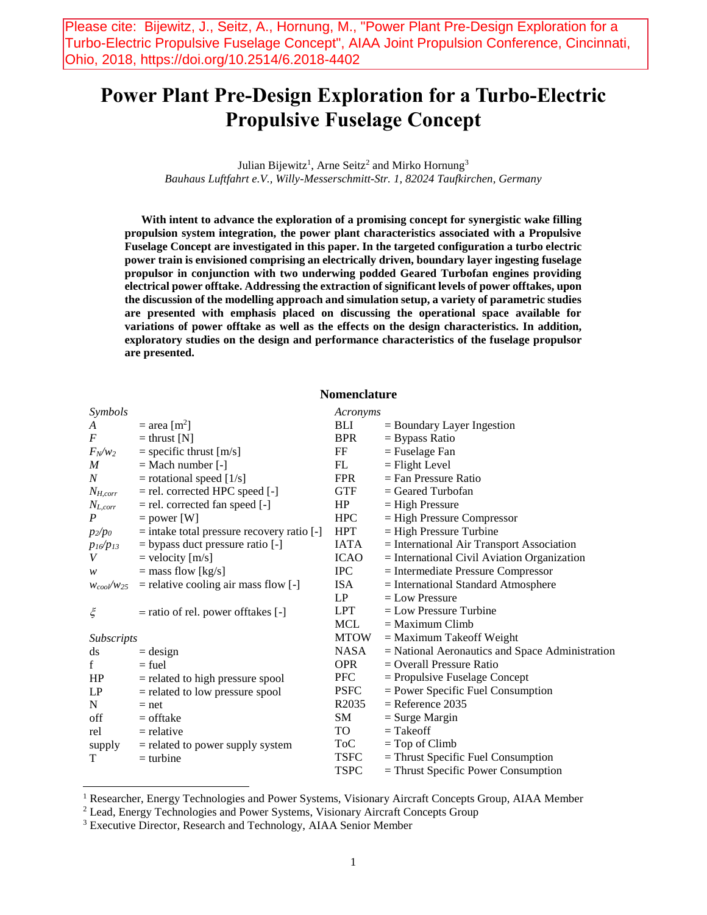Please cite: Bijewitz, J., Seitz, A., Hornung, M., "Power Plant Pre-Design Exploration for a Turbo-Electric Propulsive Fuselage Concept", AIAA Joint Propulsion Conference, Cincinnati, Ohio, 2018, https://doi.org/10.2514/6.2018-4402

# **Power Plant Pre-Design Exploration for a Turbo-Electric Propulsive Fuselage Concept**

Julian Bijewitz<sup>1</sup>, Arne Seitz<sup>2</sup> and Mirko Hornung<sup>3</sup> *Bauhaus Luftfahrt e.V., Willy-Messerschmitt-Str. 1, 82024 Taufkirchen, Germany*

**With intent to advance the exploration of a promising concept for synergistic wake filling propulsion system integration, the power plant characteristics associated with a Propulsive Fuselage Concept are investigated in this paper. In the targeted configuration a turbo electric power train is envisioned comprising an electrically driven, boundary layer ingesting fuselage propulsor in conjunction with two underwing podded Geared Turbofan engines providing electrical power offtake. Addressing the extraction of significant levels of power offtakes, upon the discussion of the modelling approach and simulation setup, a variety of parametric studies are presented with emphasis placed on discussing the operational space available for variations of power offtake as well as the effects on the design characteristics. In addition, exploratory studies on the design and performance characteristics of the fuselage propulsor are presented.**

# **Nomenclature**

| Symbols           |                                                | Acronyms    |                                                 |
|-------------------|------------------------------------------------|-------------|-------------------------------------------------|
| A                 | $=$ area [m <sup>2</sup> ]                     | BLI         | $=$ Boundary Layer Ingestion                    |
| $\boldsymbol{F}$  | $=$ thrust [N]                                 | <b>BPR</b>  | $=$ Bypass Ratio                                |
| $F_N/w_2$         | $=$ specific thrust $[m/s]$                    | FF          | $=$ Fuselage Fan                                |
| M                 | $=$ Mach number $[-]$                          | FL          | $=$ Flight Level                                |
| N                 | $=$ rotational speed [1/s]                     | <b>FPR</b>  | $=$ Fan Pressure Ratio                          |
| $N_{H,corr}$      | $=$ rel. corrected HPC speed $[-]$             | <b>GTF</b>  | $=$ Geared Turbofan                             |
| $N_{L,corr}$      | = rel. corrected fan speed [-]                 | HP          | $=$ High Pressure                               |
| $\boldsymbol{P}$  | $=$ power [W]                                  | <b>HPC</b>  | $=$ High Pressure Compressor                    |
| $p_2/p_0$         | $=$ intake total pressure recovery ratio $[-]$ | HPT         | $=$ High Pressure Turbine                       |
| $p_{16}/p_{13}$   | = bypass duct pressure ratio [-]               | <b>IATA</b> | = International Air Transport Association       |
| V                 | $=$ velocity $[m/s]$                           | <b>ICAO</b> | $=$ International Civil Aviation Organization   |
| w                 | $=$ mass flow [kg/s]                           | <b>IPC</b>  | = Intermediate Pressure Compressor              |
| $W_{cool}/W_{25}$ | $=$ relative cooling air mass flow $[-]$       | ISA         | $=$ International Standard Atmosphere           |
|                   |                                                | LP          | $=$ Low Pressure                                |
| $\xi$             | $=$ ratio of rel. power of ftakes $[-]$        | LPT         | $=$ Low Pressure Turbine                        |
|                   |                                                | MCL         | $=$ Maximum Climb                               |
| Subscripts        |                                                | <b>MTOW</b> | $=$ Maximum Takeoff Weight                      |
| ds                | $=$ design                                     | NASA        | = National Aeronautics and Space Administration |
| f                 | $=$ fuel                                       | <b>OPR</b>  | $=$ Overall Pressure Ratio                      |
| HP                | $=$ related to high pressure spool             | PFC         | $=$ Propulsive Fuselage Concept                 |
| LP                | $=$ related to low pressure spool              | <b>PSFC</b> | $=$ Power Specific Fuel Consumption             |
| N                 | $=$ net                                        | R2035       | $=$ Reference 2035                              |
| off               | $=$ offtake                                    | SM          | $=$ Surge Margin                                |
| rel               | $=$ relative                                   | TO T        | $=$ Takeoff                                     |
| supply            | $=$ related to power supply system             | ToC         | $=$ Top of Climb                                |
| T                 | $=$ turbine                                    | <b>TSFC</b> | $=$ Thrust Specific Fuel Consumption            |
|                   |                                                | <b>TSPC</b> | $=$ Thrust Specific Power Consumption           |

<sup>1</sup> Researcher, Energy Technologies and Power Systems, Visionary Aircraft Concepts Group, AIAA Member

 $\overline{\phantom{a}}$ 

<sup>2</sup> Lead, Energy Technologies and Power Systems, Visionary Aircraft Concepts Group

<sup>3</sup> Executive Director, Research and Technology, AIAA Senior Member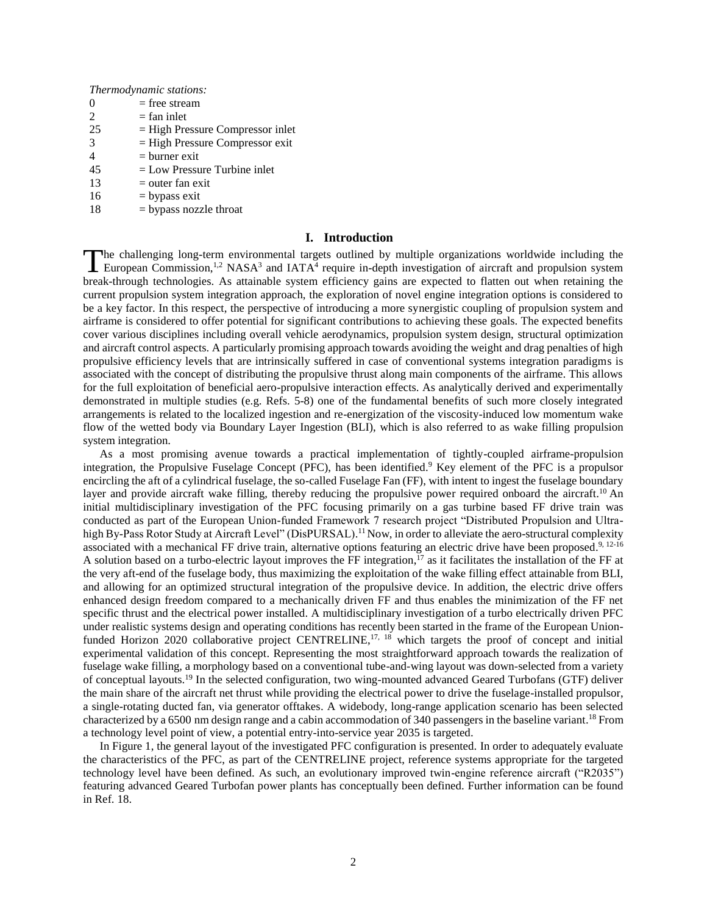*Thermodynamic stations:*

- $0 =$  free stream
- $2 = \text{fan inlet}$  $25$  = High Pressure Compressor inlet
- $3 =$  High Pressure Compressor exit
- $4 = \text{burner exit}$
- $45$  = Low Pressure Turbine inlet
- $13$  = outer fan exit
- $16$  = bypass exit
- $18$  = bypass nozzle throat

# **I. Introduction**

he challenging long-term environmental targets outlined by multiple organizations worldwide including the European Commission,<sup>1,2</sup> NASA<sup>3</sup> and IATA<sup>4</sup> require in-depth investigation of aircraft and propulsion system The challenging long-term environmental targets outlined by multiple organizations worldwide including the European Commission,<sup>1,2</sup> NASA<sup>3</sup> and IATA<sup>4</sup> require in-depth investigation of aircraft and propulsion system brea current propulsion system integration approach, the exploration of novel engine integration options is considered to be a key factor. In this respect, the perspective of introducing a more synergistic coupling of propulsion system and airframe is considered to offer potential for significant contributions to achieving these goals. The expected benefits cover various disciplines including overall vehicle aerodynamics, propulsion system design, structural optimization and aircraft control aspects. A particularly promising approach towards avoiding the weight and drag penalties of high propulsive efficiency levels that are intrinsically suffered in case of conventional systems integration paradigms is associated with the concept of distributing the propulsive thrust along main components of the airframe. This allows for the full exploitation of beneficial aero-propulsive interaction effects. As analytically derived and experimentally demonstrated in multiple studies (e.g. Refs. 5-8) one of the fundamental benefits of such more closely integrated arrangements is related to the localized ingestion and re-energization of the viscosity-induced low momentum wake flow of the wetted body via Boundary Layer Ingestion (BLI), which is also referred to as wake filling propulsion system integration.

As a most promising avenue towards a practical implementation of tightly-coupled airframe-propulsion integration, the Propulsive Fuselage Concept (PFC), has been identified. <sup>9</sup> Key element of the PFC is a propulsor encircling the aft of a cylindrical fuselage, the so-called Fuselage Fan (FF), with intent to ingest the fuselage boundary layer and provide aircraft wake filling, thereby reducing the propulsive power required onboard the aircraft.<sup>10</sup> An initial multidisciplinary investigation of the PFC focusing primarily on a gas turbine based FF drive train was conducted as part of the European Union-funded Framework 7 research project "Distributed Propulsion and Ultrahigh By-Pass Rotor Study at Aircraft Level" (DisPURSAL).<sup>11</sup> Now, in order to alleviate the aero-structural complexity associated with a mechanical FF drive train, alternative options featuring an electric drive have been proposed.<sup>9, 12-16</sup> A solution based on a turbo-electric layout improves the FF integration,<sup>17</sup> as it facilitates the installation of the FF at the very aft-end of the fuselage body, thus maximizing the exploitation of the wake filling effect attainable from BLI, and allowing for an optimized structural integration of the propulsive device. In addition, the electric drive offers enhanced design freedom compared to a mechanically driven FF and thus enables the minimization of the FF net specific thrust and the electrical power installed. A multidisciplinary investigation of a turbo electrically driven PFC under realistic systems design and operating conditions has recently been started in the frame of the European Unionfunded Horizon 2020 collaborative project CENTRELINE,<sup>17, 18</sup> which targets the proof of concept and initial experimental validation of this concept. Representing the most straightforward approach towards the realization of fuselage wake filling, a morphology based on a conventional tube-and-wing layout was down-selected from a variety of conceptual layouts.<sup>19</sup> In the selected configuration, two wing-mounted advanced Geared Turbofans (GTF) deliver the main share of the aircraft net thrust while providing the electrical power to drive the fuselage-installed propulsor, a single-rotating ducted fan, via generator offtakes. A widebody, long-range application scenario has been selected characterized by a 6500 nm design range and a cabin accommodation of 340 passengers in the baseline variant.<sup>18</sup> From a technology level point of view, a potential entry-into-service year 2035 is targeted.

In [Figure 1,](#page-2-0) the general layout of the investigated PFC configuration is presented. In order to adequately evaluate the characteristics of the PFC, as part of the CENTRELINE project, reference systems appropriate for the targeted technology level have been defined. As such, an evolutionary improved twin-engine reference aircraft ("R2035") featuring advanced Geared Turbofan power plants has conceptually been defined. Further information can be found in Ref. 18.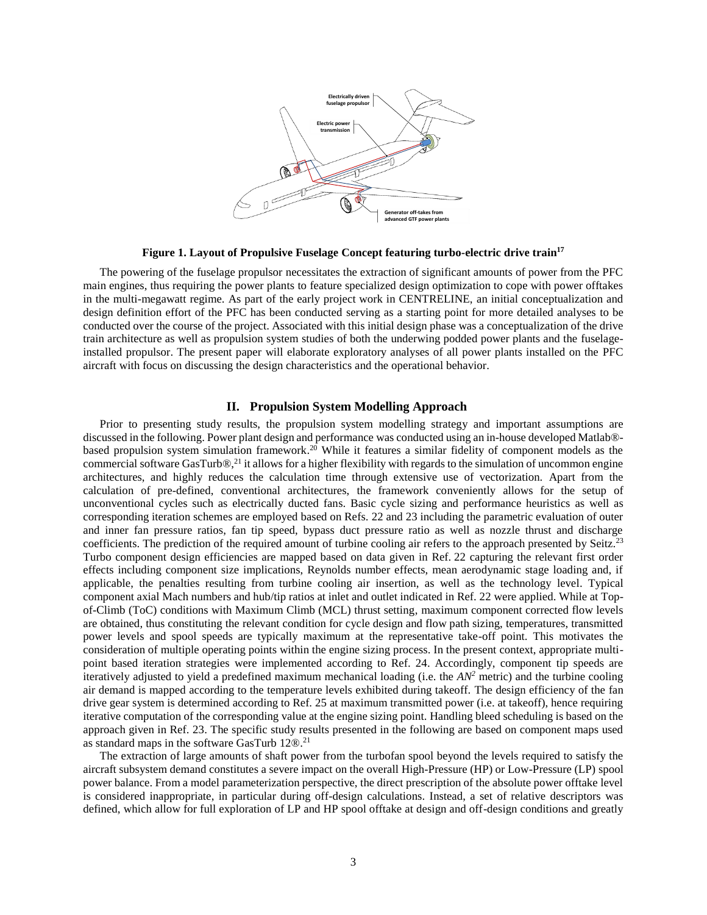

**Figure 1. Layout of Propulsive Fuselage Concept featuring turbo-electric drive train<sup>17</sup>**

<span id="page-2-0"></span>The powering of the fuselage propulsor necessitates the extraction of significant amounts of power from the PFC main engines, thus requiring the power plants to feature specialized design optimization to cope with power offtakes in the multi-megawatt regime. As part of the early project work in CENTRELINE, an initial conceptualization and design definition effort of the PFC has been conducted serving as a starting point for more detailed analyses to be conducted over the course of the project. Associated with this initial design phase was a conceptualization of the drive train architecture as well as propulsion system studies of both the underwing podded power plants and the fuselageinstalled propulsor. The present paper will elaborate exploratory analyses of all power plants installed on the PFC aircraft with focus on discussing the design characteristics and the operational behavior.

# **II. Propulsion System Modelling Approach**

Prior to presenting study results, the propulsion system modelling strategy and important assumptions are discussed in the following. Power plant design and performance was conducted using an in-house developed Matlab® based propulsion system simulation framework. <sup>20</sup> While it features a similar fidelity of component models as the commercial software GasTurb $\mathcal{D}^{(2)}$  it allows for a higher flexibility with regards to the simulation of uncommon engine architectures, and highly reduces the calculation time through extensive use of vectorization. Apart from the calculation of pre-defined, conventional architectures, the framework conveniently allows for the setup of unconventional cycles such as electrically ducted fans. Basic cycle sizing and performance heuristics as well as corresponding iteration schemes are employed based on Refs. 22 and 23 including the parametric evaluation of outer and inner fan pressure ratios, fan tip speed, bypass duct pressure ratio as well as nozzle thrust and discharge coefficients. The prediction of the required amount of turbine cooling air refers to the approach presented by Seitz.<sup>23</sup> Turbo component design efficiencies are mapped based on data given in Ref. 22 capturing the relevant first order effects including component size implications, Reynolds number effects, mean aerodynamic stage loading and, if applicable, the penalties resulting from turbine cooling air insertion, as well as the technology level. Typical component axial Mach numbers and hub/tip ratios at inlet and outlet indicated in Ref. 22 were applied. While at Topof-Climb (ToC) conditions with Maximum Climb (MCL) thrust setting, maximum component corrected flow levels are obtained, thus constituting the relevant condition for cycle design and flow path sizing, temperatures, transmitted power levels and spool speeds are typically maximum at the representative take-off point. This motivates the consideration of multiple operating points within the engine sizing process. In the present context, appropriate multipoint based iteration strategies were implemented according to Ref. 24. Accordingly, component tip speeds are iteratively adjusted to yield a predefined maximum mechanical loading (i.e. the *AN<sup>2</sup>* metric) and the turbine cooling air demand is mapped according to the temperature levels exhibited during takeoff. The design efficiency of the fan drive gear system is determined according to Ref. 25 at maximum transmitted power (i.e. at takeoff), hence requiring iterative computation of the corresponding value at the engine sizing point. Handling bleed scheduling is based on the approach given in Ref. 23. The specific study results presented in the following are based on component maps used as standard maps in the software GasTurb 12®. 21

The extraction of large amounts of shaft power from the turbofan spool beyond the levels required to satisfy the aircraft subsystem demand constitutes a severe impact on the overall High-Pressure (HP) or Low-Pressure (LP) spool power balance. From a model parameterization perspective, the direct prescription of the absolute power offtake level is considered inappropriate, in particular during off-design calculations. Instead, a set of relative descriptors was defined, which allow for full exploration of LP and HP spool offtake at design and off-design conditions and greatly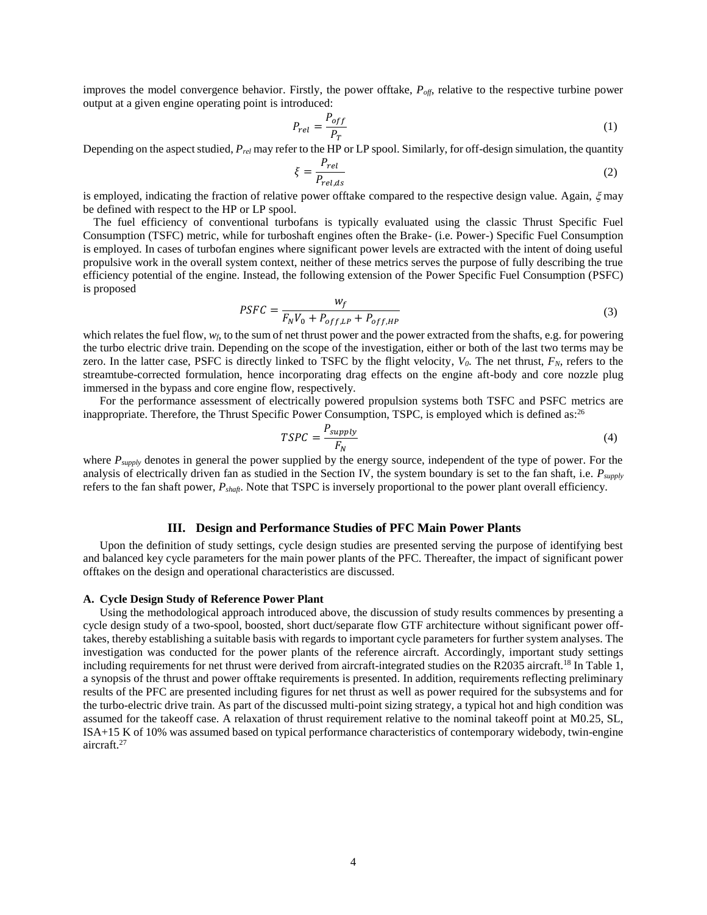improves the model convergence behavior. Firstly, the power offtake, *Poff*, relative to the respective turbine power output at a given engine operating point is introduced:

$$
P_{rel} = \frac{P_{off}}{P_T} \tag{1}
$$

Depending on the aspect studied, *Prel* may refer to the HP or LP spool. Similarly, for off-design simulation, the quantity

$$
\xi = \frac{P_{rel}}{P_{rel,ds}}
$$
 (2)

is employed, indicating the fraction of relative power offtake compared to the respective design value. Again,  $\xi$  may be defined with respect to the HP or LP spool.

The fuel efficiency of conventional turbofans is typically evaluated using the classic Thrust Specific Fuel Consumption (TSFC) metric, while for turboshaft engines often the Brake- (i.e. Power-) Specific Fuel Consumption is employed. In cases of turbofan engines where significant power levels are extracted with the intent of doing useful propulsive work in the overall system context, neither of these metrics serves the purpose of fully describing the true efficiency potential of the engine. Instead, the following extension of the Power Specific Fuel Consumption (PSFC) is proposed

$$
PSFC = \frac{w_f}{F_N V_0 + P_{off, LP} + P_{off, HP}}
$$
\n
$$
\tag{3}
$$

which relates the fuel flow,  $w_f$ , to the sum of net thrust power and the power extracted from the shafts, e.g. for powering the turbo electric drive train. Depending on the scope of the investigation, either or both of the last two terms may be zero. In the latter case, PSFC is directly linked to TSFC by the flight velocity, *V0*. The net thrust, *FN*, refers to the streamtube-corrected formulation, hence incorporating drag effects on the engine aft-body and core nozzle plug immersed in the bypass and core engine flow, respectively.

For the performance assessment of electrically powered propulsion systems both TSFC and PSFC metrics are inappropriate. Therefore, the Thrust Specific Power Consumption, TSPC, is employed which is defined as: $^{26}$ 

$$
TSPC = \frac{P_{supply}}{F_N} \tag{4}
$$

where  $P_{\text{supply}}$  denotes in general the power supplied by the energy source, independent of the type of power. For the analysis of electrically driven fan as studied in the Section [IV,](#page-10-0) the system boundary is set to the fan shaft, i.e. *Psupply* refers to the fan shaft power, *Pshaft*. Note that TSPC is inversely proportional to the power plant overall efficiency.

## **III. Design and Performance Studies of PFC Main Power Plants**

<span id="page-3-0"></span>Upon the definition of study settings, cycle design studies are presented serving the purpose of identifying best and balanced key cycle parameters for the main power plants of the PFC. Thereafter, the impact of significant power offtakes on the design and operational characteristics are discussed.

#### <span id="page-3-1"></span>**A. Cycle Design Study of Reference Power Plant**

Using the methodological approach introduced above, the discussion of study results commences by presenting a cycle design study of a two-spool, boosted, short duct/separate flow GTF architecture without significant power offtakes, thereby establishing a suitable basis with regards to important cycle parameters for further system analyses. The investigation was conducted for the power plants of the reference aircraft. Accordingly, important study settings including requirements for net thrust were derived from aircraft-integrated studies on the R2035 aircraft.<sup>18</sup> I[n Table 1,](#page-4-0) a synopsis of the thrust and power offtake requirements is presented. In addition, requirements reflecting preliminary results of the PFC are presented including figures for net thrust as well as power required for the subsystems and for the turbo-electric drive train. As part of the discussed multi-point sizing strategy, a typical hot and high condition was assumed for the takeoff case. A relaxation of thrust requirement relative to the nominal takeoff point at M0.25, SL, ISA+15 K of 10% was assumed based on typical performance characteristics of contemporary widebody, twin-engine aircraft. 27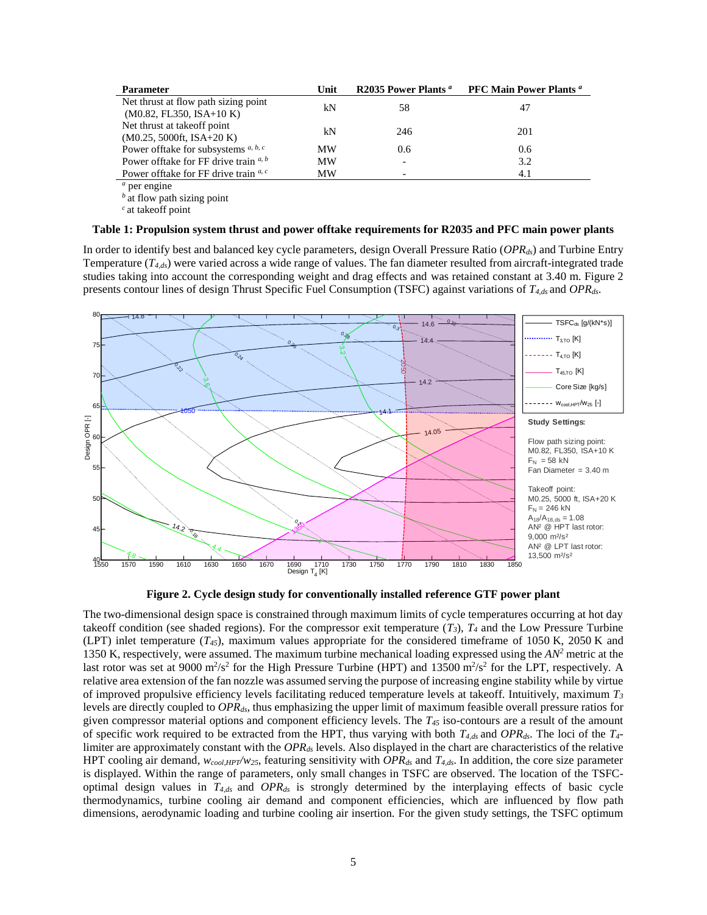| <b>Parameter</b>                                                   | Unit | R2035 Power Plants <sup>a</sup> | <b>PFC Main Power Plants </b> <i>a</i> |
|--------------------------------------------------------------------|------|---------------------------------|----------------------------------------|
| Net thrust at flow path sizing point<br>$(M0.82, FL350, ISA+10 K)$ | kN   | 58                              | 47                                     |
| Net thrust at take off point<br>$(M0.25, 5000$ ft, ISA+20 K)       | kN   | 246                             | 201                                    |
| Power of ftake for subsystems $a, b, c$                            | MW   | 0.6                             | 0.6                                    |
| Power offtake for FF drive train $a, b$                            | MW   | $\overline{\phantom{a}}$        | 3.2                                    |
| Power offtake for FF drive train $a, c$                            | MW   |                                 | 4.1                                    |

*<sup>a</sup>* per engine

*b*<sup>at</sup> flow path sizing point *<sup>c</sup>*at takeoff point

## <span id="page-4-0"></span>**Table 1: Propulsion system thrust and power offtake requirements for R2035 and PFC main power plants**

In order to identify best and balanced key cycle parameters, design Overall Pressure Ratio (*OPRds*) and Turbine Entry Temperature (*T4,ds*) were varied across a wide range of values. The fan diameter resulted from aircraft-integrated trade studies taking into account the corresponding weight and drag effects and was retained constant at 3.40 m. Figure 2 presents contour lines of design Thrust Specific Fuel Consumption (TSFC) against variations of *T4,ds* and *OPRds*.



**Figure 2. Cycle design study for conventionally installed reference GTF power plant**

The two-dimensional design space is constrained through maximum limits of cycle temperatures occurring at hot day takeoff condition (see shaded regions). For the compressor exit temperature  $(T_3)$ ,  $T_4$  and the Low Pressure Turbine (LPT) inlet temperature  $(T_{45})$ , maximum values appropriate for the considered timeframe of 1050 K, 2050 K and 1350 K, respectively, were assumed. The maximum turbine mechanical loading expressed using the *AN<sup>2</sup>* metric at the last rotor was set at 9000  $\text{m}^2/\text{s}^2$  for the High Pressure Turbine (HPT) and 13500  $\text{m}^2/\text{s}^2$  for the LPT, respectively. A relative area extension of the fan nozzle was assumed serving the purpose of increasing engine stability while by virtue of improved propulsive efficiency levels facilitating reduced temperature levels at takeoff. Intuitively, maximum *T<sup>3</sup>* levels are directly coupled to *OPRds*, thus emphasizing the upper limit of maximum feasible overall pressure ratios for given compressor material options and component efficiency levels. The *T<sup>45</sup>* iso-contours are a result of the amount of specific work required to be extracted from the HPT, thus varying with both *T4,ds* and *OPRds*. The loci of the *T4* limiter are approximately constant with the *OPRds* levels. Also displayed in the chart are characteristics of the relative HPT cooling air demand, *wcool,HPT/w25*, featuring sensitivity with *OPRds* and *T4,ds*. In addition, the core size parameter is displayed. Within the range of parameters, only small changes in TSFC are observed. The location of the TSFCoptimal design values in *T4,ds* and *OPRds* is strongly determined by the interplaying effects of basic cycle thermodynamics, turbine cooling air demand and component efficiencies, which are influenced by flow path dimensions, aerodynamic loading and turbine cooling air insertion. For the given study settings, the TSFC optimum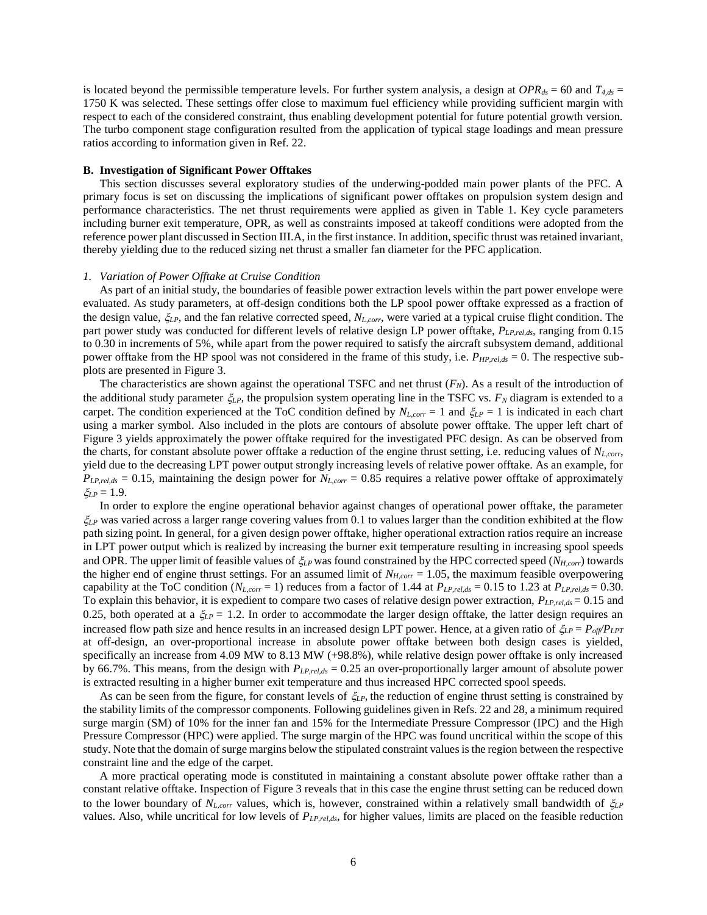is located beyond the permissible temperature levels. For further system analysis, a design at  $OPR_{ds} = 60$  and  $T_{4,ds} =$ 1750 K was selected. These settings offer close to maximum fuel efficiency while providing sufficient margin with respect to each of the considered constraint, thus enabling development potential for future potential growth version. The turbo component stage configuration resulted from the application of typical stage loadings and mean pressure ratios according to information given in Ref. 22.

#### **B. Investigation of Significant Power Offtakes**

This section discusses several exploratory studies of the underwing-podded main power plants of the PFC. A primary focus is set on discussing the implications of significant power offtakes on propulsion system design and performance characteristics. The net thrust requirements were applied as given in [Table 1.](#page-4-0) Key cycle parameters including burner exit temperature, OPR, as well as constraints imposed at takeoff conditions were adopted from the reference power plant discussed in Section [III](#page-3-0)[.A,](#page-3-1) in the first instance. In addition, specific thrust was retained invariant, thereby yielding due to the reduced sizing net thrust a smaller fan diameter for the PFC application.

#### *1. Variation of Power Offtake at Cruise Condition*

As part of an initial study, the boundaries of feasible power extraction levels within the part power envelope were evaluated. As study parameters, at off-design conditions both the LP spool power offtake expressed as a fraction of the design value, *LP*, and the fan relative corrected speed, *NL,corr*, were varied at a typical cruise flight condition. The part power study was conducted for different levels of relative design LP power offtake, *PLP,rel,ds*, ranging from 0.15 to 0.30 in increments of 5%, while apart from the power required to satisfy the aircraft subsystem demand, additional power offtake from the HP spool was not considered in the frame of this study, i.e. *PHP,rel,ds* = 0. The respective subplots are presented in [Figure 3.](#page-6-0)

The characteristics are shown against the operational TSFC and net thrust  $(F_N)$ . As a result of the introduction of the additional study parameter  $\xi_{LP}$ , the propulsion system operating line in the TSFC vs.  $F_N$  diagram is extended to a carpet. The condition experienced at the ToC condition defined by  $N_{L,corr} = 1$  and  $\zeta_{LP} = 1$  is indicated in each chart using a marker symbol. Also included in the plots are contours of absolute power offtake. The upper left chart of [Figure 3](#page-6-0) yields approximately the power offtake required for the investigated PFC design. As can be observed from the charts, for constant absolute power offtake a reduction of the engine thrust setting, i.e. reducing values of *NL,corr*, yield due to the decreasing LPT power output strongly increasing levels of relative power offtake. As an example, for  $P_{LP, rel, ds} = 0.15$ , maintaining the design power for  $N_{L, corr} = 0.85$  requires a relative power offtake of approximately  $\zeta_{LP} = 1.9$ .

In order to explore the engine operational behavior against changes of operational power offtake, the parameter  $\zeta_{LP}$  was varied across a larger range covering values from 0.1 to values larger than the condition exhibited at the flow path sizing point. In general, for a given design power offtake, higher operational extraction ratios require an increase in LPT power output which is realized by increasing the burner exit temperature resulting in increasing spool speeds and OPR. The upper limit of feasible values of  $\zeta_{LP}$  was found constrained by the HPC corrected speed (*N<sub>H,corr</sub>*) towards the higher end of engine thrust settings. For an assumed limit of *NH,corr* = 1.05, the maximum feasible overpowering capability at the ToC condition  $(N_{L,corr} = 1)$  reduces from a factor of 1.44 at  $P_{L P,rel, ds} = 0.15$  to 1.23 at  $P_{L P,rel, ds} = 0.30$ . To explain this behavior, it is expedient to compare two cases of relative design power extraction,  $P_{LP, rel, ds} = 0.15$  and 0.25, both operated at a  $\zeta_{LP} = 1.2$ . In order to accommodate the larger design offtake, the latter design requires an increased flow path size and hence results in an increased design LPT power. Hence, at a given ratio of  $\zeta_{LP} = P_{off}/P_{LPT}$ at off-design, an over-proportional increase in absolute power offtake between both design cases is yielded, specifically an increase from 4.09 MW to 8.13 MW (+98.8%), while relative design power offtake is only increased by 66.7%. This means, from the design with *PLP,rel,ds* = 0.25 an over-proportionally larger amount of absolute power is extracted resulting in a higher burner exit temperature and thus increased HPC corrected spool speeds.

As can be seen from the figure, for constant levels of  $\xi_{LP}$ , the reduction of engine thrust setting is constrained by the stability limits of the compressor components. Following guidelines given in Refs. 22 and 28, a minimum required surge margin (SM) of 10% for the inner fan and 15% for the Intermediate Pressure Compressor (IPC) and the High Pressure Compressor (HPC) were applied. The surge margin of the HPC was found uncritical within the scope of this study. Note that the domain of surge margins below the stipulated constraint values is the region between the respective constraint line and the edge of the carpet.

A more practical operating mode is constituted in maintaining a constant absolute power offtake rather than a constant relative offtake. Inspection of [Figure 3](#page-6-0) reveals that in this case the engine thrust setting can be reduced down to the lower boundary of  $N_{L,corr}$  values, which is, however, constrained within a relatively small bandwidth of  $\zeta_{LP}$ values. Also, while uncritical for low levels of *PLP,rel,ds*, for higher values, limits are placed on the feasible reduction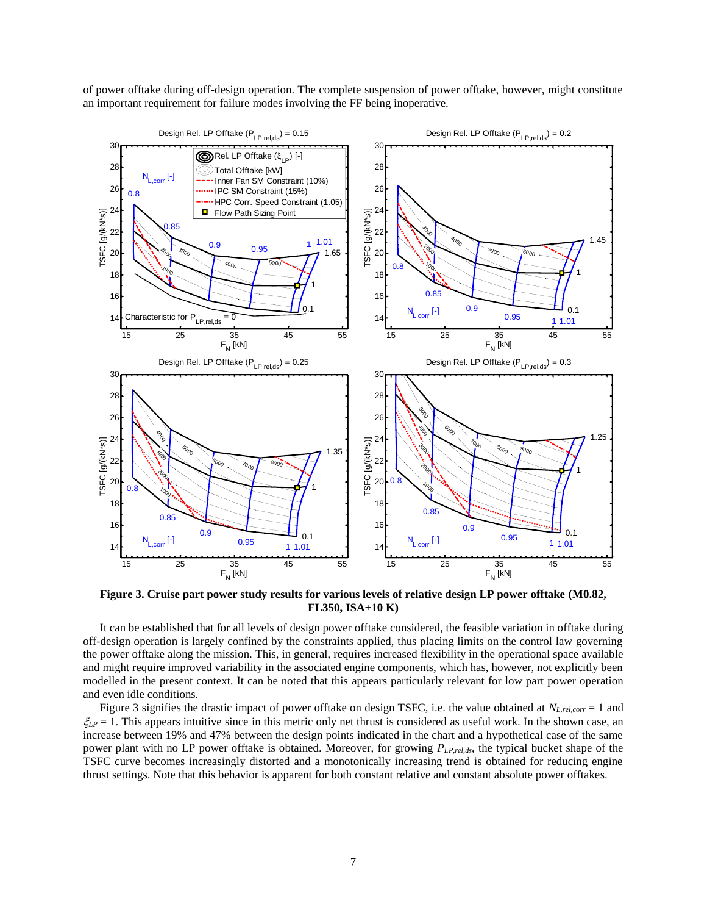of power offtake during off-design operation. The complete suspension of power offtake, however, might constitute an important requirement for failure modes involving the FF being inoperative.



<span id="page-6-0"></span>**Figure 3. Cruise part power study results for various levels of relative design LP power offtake (M0.82, FL350, ISA+10 K)**

It can be established that for all levels of design power offtake considered, the feasible variation in offtake during off-design operation is largely confined by the constraints applied, thus placing limits on the control law governing the power offtake along the mission. This, in general, requires increased flexibility in the operational space available and might require improved variability in the associated engine components, which has, however, not explicitly been modelled in the present context. It can be noted that this appears particularly relevant for low part power operation and even idle conditions.

[Figure 3](#page-6-0) signifies the drastic impact of power offtake on design TSFC, i.e. the value obtained at *NL,rel,corr* = 1 and  $\zeta_{LP} = 1$ . This appears intuitive since in this metric only net thrust is considered as useful work. In the shown case, an increase between 19% and 47% between the design points indicated in the chart and a hypothetical case of the same power plant with no LP power offtake is obtained. Moreover, for growing *PLP,rel,ds*, the typical bucket shape of the TSFC curve becomes increasingly distorted and a monotonically increasing trend is obtained for reducing engine thrust settings. Note that this behavior is apparent for both constant relative and constant absolute power offtakes.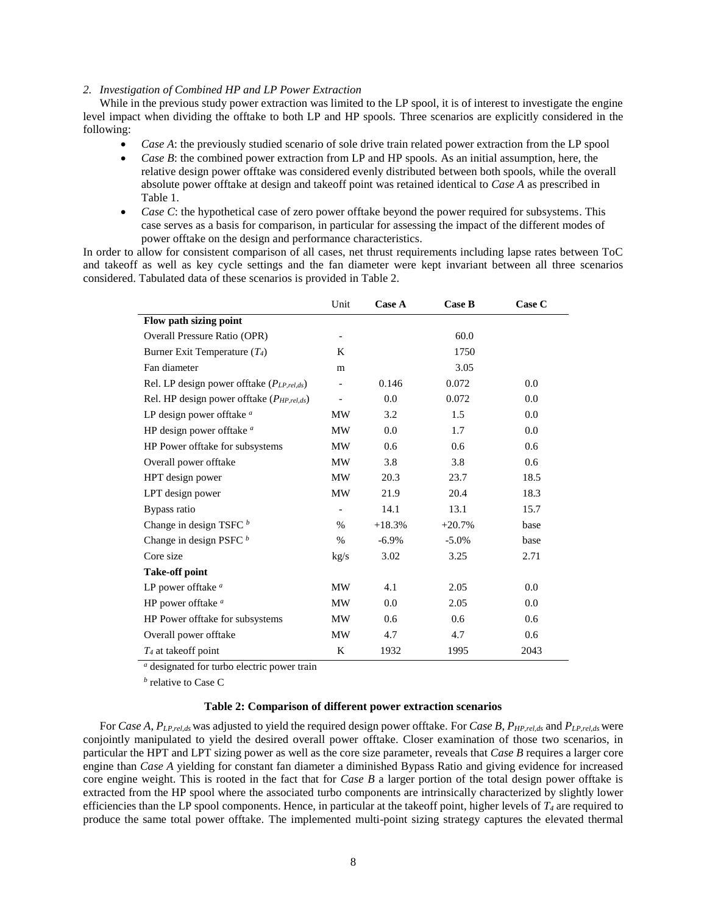# *2. Investigation of Combined HP and LP Power Extraction*

While in the previous study power extraction was limited to the LP spool, it is of interest to investigate the engine level impact when dividing the offtake to both LP and HP spools. Three scenarios are explicitly considered in the following:

- *Case A*: the previously studied scenario of sole drive train related power extraction from the LP spool
- *Case B*: the combined power extraction from LP and HP spools. As an initial assumption, here, the relative design power offtake was considered evenly distributed between both spools, while the overall absolute power offtake at design and takeoff point was retained identical to *Case A* as prescribed in Table 1.
- *Case C*: the hypothetical case of zero power offtake beyond the power required for subsystems. This case serves as a basis for comparison, in particular for assessing the impact of the different modes of power offtake on the design and performance characteristics.

In order to allow for consistent comparison of all cases, net thrust requirements including lapse rates between ToC and takeoff as well as key cycle settings and the fan diameter were kept invariant between all three scenarios considered. Tabulated data of these scenarios is provided in Table 2.

|                                                  | Unit                     | <b>Case A</b> | Case B   | Case C |
|--------------------------------------------------|--------------------------|---------------|----------|--------|
| Flow path sizing point                           |                          |               |          |        |
| <b>Overall Pressure Ratio (OPR)</b>              | $\overline{\phantom{a}}$ |               | 60.0     |        |
| Burner Exit Temperature $(T_4)$                  | K                        |               | 1750     |        |
| Fan diameter                                     | m                        |               | 3.05     |        |
| Rel. LP design power offtake $(P_{LP, rel, ds})$ | $\overline{\phantom{0}}$ | 0.146         | 0.072    | 0.0    |
| Rel. HP design power offtake $(P_{HP, rel, ds})$ |                          | 0.0           | 0.072    | 0.0    |
| LP design power offtake <sup>a</sup>             | MW                       | 3.2           | 1.5      | 0.0    |
| HP design power offtake <sup>a</sup>             | MW                       | 0.0           | 1.7      | 0.0    |
| HP Power offtake for subsystems                  | MW                       | 0.6           | 0.6      | 0.6    |
| Overall power offtake                            | MW                       | 3.8           | 3.8      | 0.6    |
| HPT design power                                 | MW                       | 20.3          | 23.7     | 18.5   |
| LPT design power                                 | <b>MW</b>                | 21.9          | 20.4     | 18.3   |
| Bypass ratio                                     | $\qquad \qquad -$        | 14.1          | 13.1     | 15.7   |
| Change in design TSFC <sup>b</sup>               | $\%$                     | $+18.3%$      | $+20.7%$ | base   |
| Change in design PSFC $b$                        | $\%$                     | $-6.9\%$      | $-5.0\%$ | base   |
| Core size                                        | kg/s                     | 3.02          | 3.25     | 2.71   |
| <b>Take-off point</b>                            |                          |               |          |        |
| LP power offtake <sup>a</sup>                    | <b>MW</b>                | 4.1           | 2.05     | 0.0    |
| HP power offtake <sup>a</sup>                    | MW                       | 0.0           | 2.05     | 0.0    |
| HP Power offtake for subsystems                  | MW                       | 0.6           | 0.6      | 0.6    |
| Overall power offtake                            | MW                       | 4.7           | 4.7      | 0.6    |
| $T_4$ at take of point                           | K                        | 1932          | 1995     | 2043   |

*<sup>a</sup>* designated for turbo electric power train

*b* relative to Case C

# **Table 2: Comparison of different power extraction scenarios**

<span id="page-7-0"></span>For *Case A*, *PLP,rel,ds* was adjusted to yield the required design power offtake. For *Case B*, *PHP,rel,ds* and *PLP,rel,ds* were conjointly manipulated to yield the desired overall power offtake. Closer examination of those two scenarios, in particular the HPT and LPT sizing power as well as the core size parameter, reveals that *Case B* requires a larger core engine than *Case A* yielding for constant fan diameter a diminished Bypass Ratio and giving evidence for increased core engine weight. This is rooted in the fact that for *Case B* a larger portion of the total design power offtake is extracted from the HP spool where the associated turbo components are intrinsically characterized by slightly lower efficiencies than the LP spool components. Hence, in particular at the takeoff point, higher levels of  $T_4$  are required to produce the same total power offtake. The implemented multi-point sizing strategy captures the elevated thermal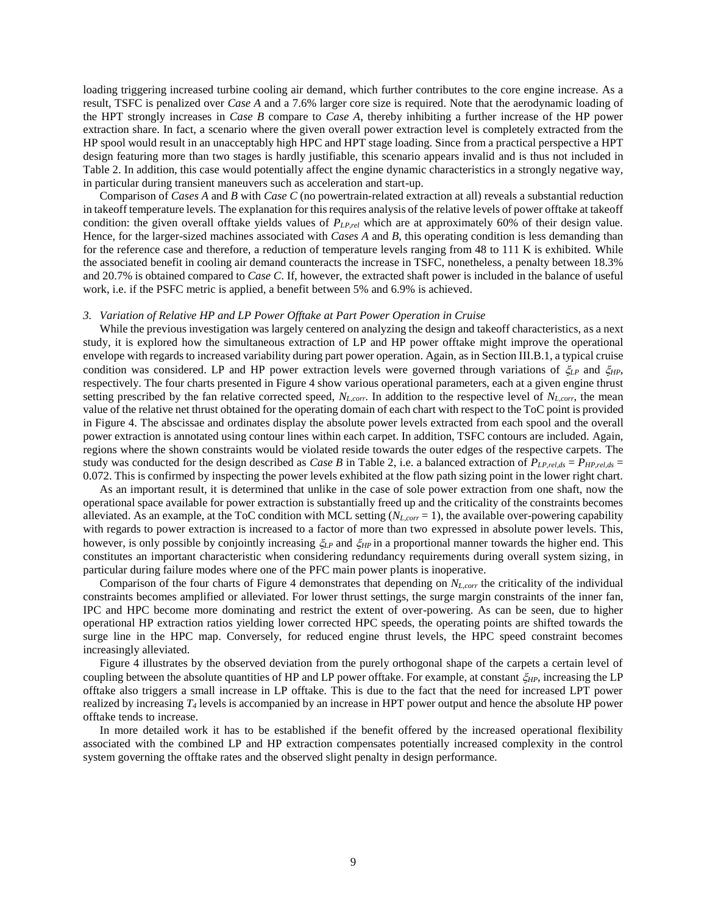loading triggering increased turbine cooling air demand, which further contributes to the core engine increase. As a result, TSFC is penalized over *Case A* and a 7.6% larger core size is required. Note that the aerodynamic loading of the HPT strongly increases in *Case B* compare to *Case A*, thereby inhibiting a further increase of the HP power extraction share. In fact, a scenario where the given overall power extraction level is completely extracted from the HP spool would result in an unacceptably high HPC and HPT stage loading. Since from a practical perspective a HPT design featuring more than two stages is hardly justifiable, this scenario appears invalid and is thus not included in Table 2. In addition, this case would potentially affect the engine dynamic characteristics in a strongly negative way, in particular during transient maneuvers such as acceleration and start-up.

Comparison of *Cases A* and *B* with *Case C* (no powertrain-related extraction at all) reveals a substantial reduction in takeoff temperature levels. The explanation for this requires analysis of the relative levels of power offtake at takeoff condition: the given overall offtake yields values of  $P_{LP,rel}$  which are at approximately 60% of their design value. Hence, for the larger-sized machines associated with *Cases A* and *B*, this operating condition is less demanding than for the reference case and therefore, a reduction of temperature levels ranging from 48 to 111 K is exhibited. While the associated benefit in cooling air demand counteracts the increase in TSFC, nonetheless, a penalty between 18.3% and 20.7% is obtained compared to *Case C*. If, however, the extracted shaft power is included in the balance of useful work, i.e. if the PSFC metric is applied, a benefit between 5% and 6.9% is achieved.

#### *3. Variation of Relative HP and LP Power Offtake at Part Power Operation in Cruise*

While the previous investigation was largely centered on analyzing the design and takeoff characteristics, as a next study, it is explored how the simultaneous extraction of LP and HP power offtake might improve the operational envelope with regards to increased variability during part power operation. Again, as in Section III.B.1, a typical cruise condition was considered. LP and HP power extraction levels were governed through variations of  $\zeta_{LP}$  and  $\zeta_{HP}$ , respectively. The four charts presented in Figure 4 show various operational parameters, each at a given engine thrust setting prescribed by the fan relative corrected speed, *NL,corr*. In addition to the respective level of *NL,corr*, the mean value of the relative net thrust obtained for the operating domain of each chart with respect to the ToC point is provided in [Figure 4.](#page-9-0) The abscissae and ordinates display the absolute power levels extracted from each spool and the overall power extraction is annotated using contour lines within each carpet. In addition, TSFC contours are included. Again, regions where the shown constraints would be violated reside towards the outer edges of the respective carpets. The study was conducted for the design described as *Case B* in Table 2, i.e. a balanced extraction of *PLP,rel,ds* = *PHP,rel,ds* = 0.072. This is confirmed by inspecting the power levels exhibited at the flow path sizing point in the lower right chart.

As an important result, it is determined that unlike in the case of sole power extraction from one shaft, now the operational space available for power extraction is substantially freed up and the criticality of the constraints becomes alleviated. As an example, at the ToC condition with MCL setting (*NL,corr* = 1), the available over-powering capability with regards to power extraction is increased to a factor of more than two expressed in absolute power levels. This, however, is only possible by conjointly increasing  $\zeta_{LP}$  and  $\zeta_{HP}$  in a proportional manner towards the higher end. This constitutes an important characteristic when considering redundancy requirements during overall system sizing, in particular during failure modes where one of the PFC main power plants is inoperative.

Comparison of the four charts of [Figure 4](#page-9-0) demonstrates that depending on *NL,corr* the criticality of the individual constraints becomes amplified or alleviated. For lower thrust settings, the surge margin constraints of the inner fan, IPC and HPC become more dominating and restrict the extent of over-powering. As can be seen, due to higher operational HP extraction ratios yielding lower corrected HPC speeds, the operating points are shifted towards the surge line in the HPC map. Conversely, for reduced engine thrust levels, the HPC speed constraint becomes increasingly alleviated.

[Figure 4](#page-9-0) illustrates by the observed deviation from the purely orthogonal shape of the carpets a certain level of coupling between the absolute quantities of HP and LP power offtake. For example, at constant *HP*, increasing the LP offtake also triggers a small increase in LP offtake. This is due to the fact that the need for increased LPT power realized by increasing *T<sup>4</sup>* levels is accompanied by an increase in HPT power output and hence the absolute HP power offtake tends to increase.

In more detailed work it has to be established if the benefit offered by the increased operational flexibility associated with the combined LP and HP extraction compensates potentially increased complexity in the control system governing the offtake rates and the observed slight penalty in design performance.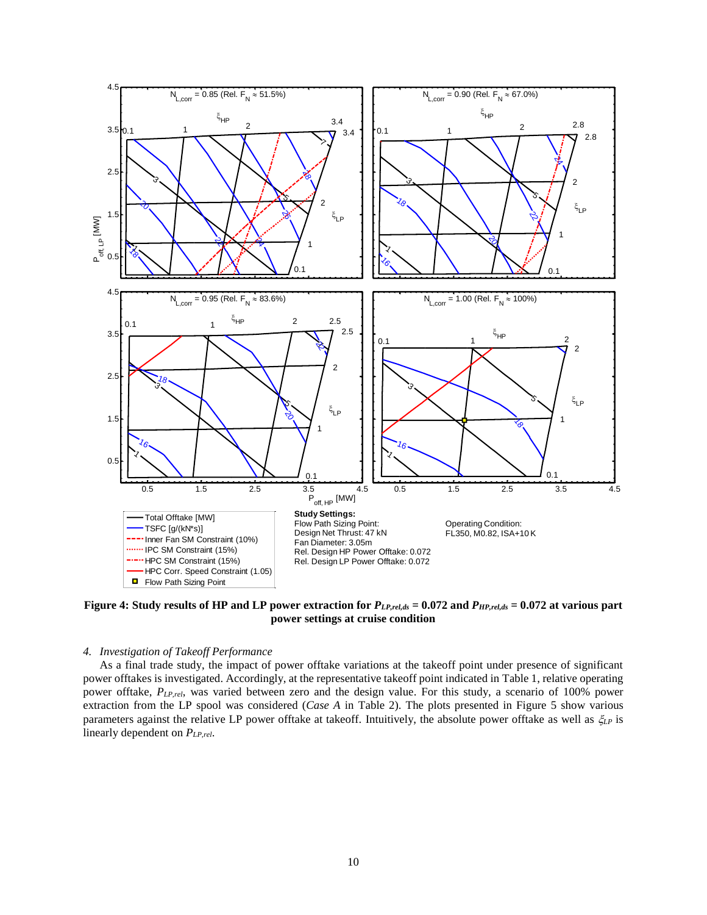

<span id="page-9-0"></span>**Figure 4: Study results of HP and LP power extraction for** *PLP,rel,ds* **= 0.072 and** *PHP,rel,ds* **= 0.072 at various part power settings at cruise condition** -0.5

# 4. Investigation of Takeoff Performance

As a final trade study, the impact of power offtake variations at the takeoff point under presence of significant power offtakes is investigated. Accordingly, at the representative takeoff point indicated in [Table 1,](#page-4-0) relative operating power offtake, *PLP,rel*, was varied between zero and the design value. For this study, a scenario of 100% power extraction from the LP spool was considered (*Case A* in [Table 2\)](#page-7-0). The plots presented in [Figure 5](#page-10-1) show various parameters against the relative LP power offtake at takeoff. Intuitively, the absolute power offtake as well as  $\zeta_{LP}$  is linearly dependent on *PLP,rel*.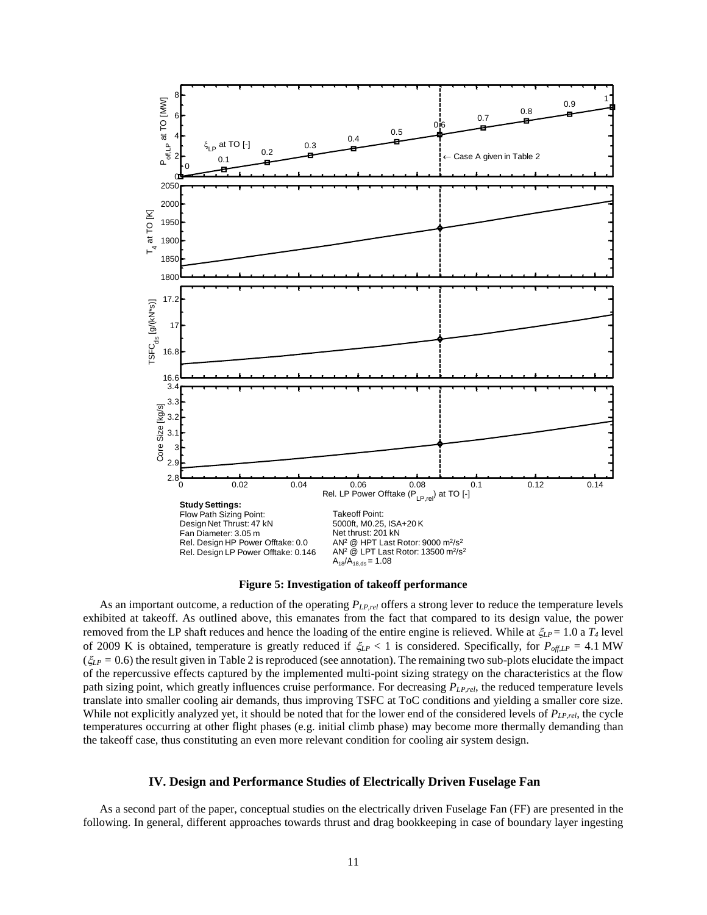



<span id="page-10-1"></span>As an important outcome, a reduction of the operating *PLP,rel* offers a strong lever to reduce the temperature levels exhibited at takeoff. As outlined above, this emanates from the fact that compared to its design value, the power removed from the LP shaft reduces and hence the loading of the entire engine is relieved. While at  $\zeta_{LP} = 1.0$  a  $T_4$  level of 2009 K is obtained, temperature is greatly reduced if  $\zeta_{LP} < 1$  is considered. Specifically, for  $P_{off,LP} = 4.1$  MW  $(\xi_{LP} = 0.6)$  the result given i[n Table 2](#page-7-0) is reproduced (see annotation). The remaining two sub-plots elucidate the impact of the repercussive effects captured by the implemented multi-point sizing strategy on the characteristics at the flow path sizing point, which greatly influences cruise performance. For decreasing *PLP,rel*, the reduced temperature levels translate into smaller cooling air demands, thus improving TSFC at ToC conditions and yielding a smaller core size. While not explicitly analyzed yet, it should be noted that for the lower end of the considered levels of  $P_{LP,rel}$ , the cycle temperatures occurring at other flight phases (e.g. initial climb phase) may become more thermally demanding than the takeoff case, thus constituting an even more relevant condition for cooling air system design.

# <span id="page-10-0"></span>**IV. Design and Performance Studies of Electrically Driven Fuselage Fan**

As a second part of the paper, conceptual studies on the electrically driven Fuselage Fan (FF) are presented in the following. In general, different approaches towards thrust and drag bookkeeping in case of boundary layer ingesting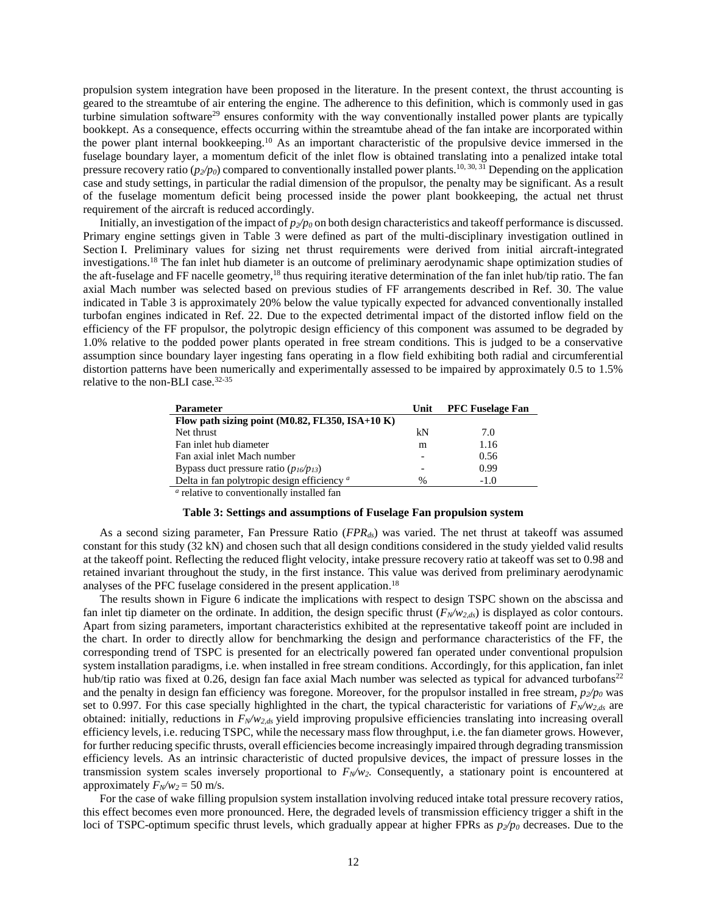propulsion system integration have been proposed in the literature. In the present context, the thrust accounting is geared to the streamtube of air entering the engine. The adherence to this definition, which is commonly used in gas turbine simulation software<sup>29</sup> ensures conformity with the way conventionally installed power plants are typically bookkept. As a consequence, effects occurring within the streamtube ahead of the fan intake are incorporated within the power plant internal bookkeeping. <sup>10</sup> As an important characteristic of the propulsive device immersed in the fuselage boundary layer, a momentum deficit of the inlet flow is obtained translating into a penalized intake total pressure recovery ratio ( $p_2/p_0$ ) compared to conventionally installed power plants.<sup>10, 30, 31</sup> Depending on the application case and study settings, in particular the radial dimension of the propulsor, the penalty may be significant. As a result of the fuselage momentum deficit being processed inside the power plant bookkeeping, the actual net thrust requirement of the aircraft is reduced accordingly.

Initially, an investigation of the impact of  $p_2/p_0$  on both design characteristics and takeoff performance is discussed. Primary engine settings given in [Table 3](#page-11-0) were defined as part of the multi-disciplinary investigation outlined in Section I. Preliminary values for sizing net thrust requirements were derived from initial aircraft-integrated investigations. <sup>18</sup> The fan inlet hub diameter is an outcome of preliminary aerodynamic shape optimization studies of the aft-fuselage and FF nacelle geometry,<sup>18</sup> thus requiring iterative determination of the fan inlet hub/tip ratio. The fan axial Mach number was selected based on previous studies of FF arrangements described in Ref. 30. The value indicated in [Table 3](#page-11-0) is approximately 20% below the value typically expected for advanced conventionally installed turbofan engines indicated in Ref. 22. Due to the expected detrimental impact of the distorted inflow field on the efficiency of the FF propulsor, the polytropic design efficiency of this component was assumed to be degraded by 1.0% relative to the podded power plants operated in free stream conditions. This is judged to be a conservative assumption since boundary layer ingesting fans operating in a flow field exhibiting both radial and circumferential distortion patterns have been numerically and experimentally assessed to be impaired by approximately 0.5 to 1.5% relative to the non-BLI case.32-35

| <b>Parameter</b>                                       | Unit | <b>PFC Fuselage Fan</b> |
|--------------------------------------------------------|------|-------------------------|
| Flow path sizing point (M0.82, FL350, ISA+10 K)        |      |                         |
| Net thrust                                             | kN   | 7.0                     |
| Fan inlet hub diameter                                 | m    | 1.16                    |
| Fan axial inlet Mach number                            |      | 0.56                    |
| Bypass duct pressure ratio $(p_{16}/p_{13})$           |      | 0.99                    |
| Delta in fan polytropic design efficiency <sup>a</sup> |      | $-1.0$                  |
| a relative to conventionally installed fan             |      |                         |

relative to conventionally installed fan

## **Table 3: Settings and assumptions of Fuselage Fan propulsion system**

<span id="page-11-0"></span>As a second sizing parameter, Fan Pressure Ratio (*FPRds*) was varied. The net thrust at takeoff was assumed constant for this study (32 kN) and chosen such that all design conditions considered in the study yielded valid results at the takeoff point. Reflecting the reduced flight velocity, intake pressure recovery ratio at takeoff was set to 0.98 and retained invariant throughout the study, in the first instance. This value was derived from preliminary aerodynamic analyses of the PFC fuselage considered in the present application. 18

The results shown in [Figure 6](#page-12-0) indicate the implications with respect to design TSPC shown on the abscissa and fan inlet tip diameter on the ordinate. In addition, the design specific thrust  $(F_N/w_{2,ds})$  is displayed as color contours. Apart from sizing parameters, important characteristics exhibited at the representative takeoff point are included in the chart. In order to directly allow for benchmarking the design and performance characteristics of the FF, the corresponding trend of TSPC is presented for an electrically powered fan operated under conventional propulsion system installation paradigms, i.e. when installed in free stream conditions. Accordingly, for this application, fan inlet hub/tip ratio was fixed at 0.26, design fan face axial Mach number was selected as typical for advanced turbofans<sup>22</sup> and the penalty in design fan efficiency was foregone. Moreover, for the propulsor installed in free stream,  $p_2/p_0$  was set to 0.997. For this case specially highlighted in the chart, the typical characteristic for variations of *FN/w2,ds* are obtained: initially, reductions in *FN/w2,ds* yield improving propulsive efficiencies translating into increasing overall efficiency levels, i.e. reducing TSPC, while the necessary mass flow throughput, i.e. the fan diameter grows. However, for further reducing specific thrusts, overall efficiencies become increasingly impaired through degrading transmission efficiency levels. As an intrinsic characteristic of ducted propulsive devices, the impact of pressure losses in the transmission system scales inversely proportional to *FN/w2.* Consequently, a stationary point is encountered at approximately  $F<sub>N</sub>/w<sub>2</sub> = 50$  m/s.

For the case of wake filling propulsion system installation involving reduced intake total pressure recovery ratios, this effect becomes even more pronounced. Here, the degraded levels of transmission efficiency trigger a shift in the loci of TSPC-optimum specific thrust levels, which gradually appear at higher FPRs as *p2/p<sup>0</sup>* decreases. Due to the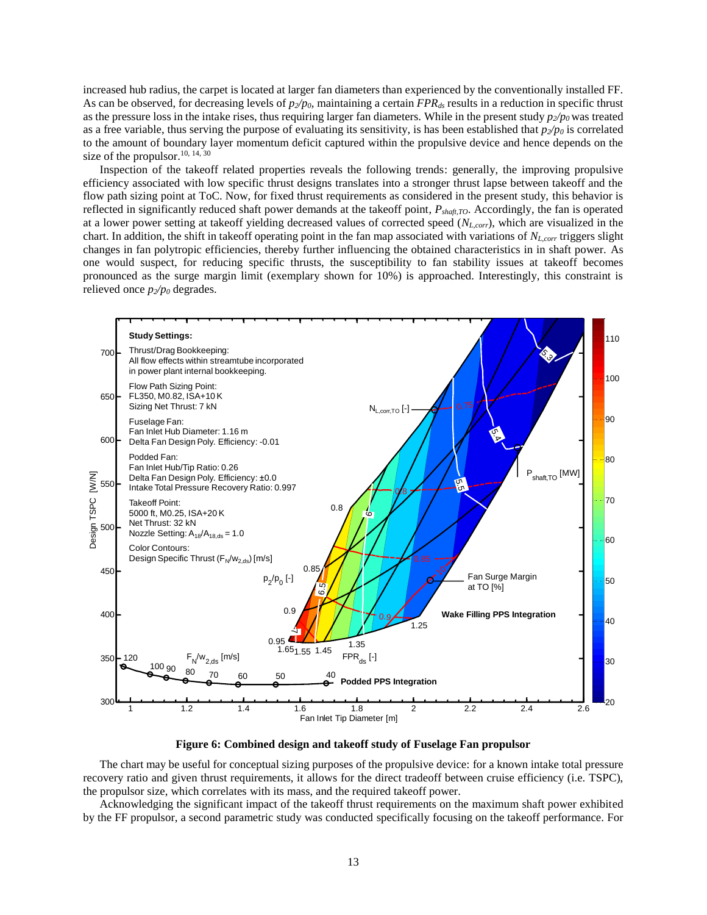increased hub radius, the carpet is located at larger fan diameters than experienced by the conventionally installed FF. As can be observed, for decreasing levels of *p2/p0*, maintaining a certain *FPRds* results in a reduction in specific thrust as the pressure loss in the intake rises, thus requiring larger fan diameters. While in the present study *p2/p<sup>0</sup>* was treated as a free variable, thus serving the purpose of evaluating its sensitivity, is has been established that  $p_2/p_0$  is correlated to the amount of boundary layer momentum deficit captured within the propulsive device and hence depends on the size of the propulsor.<sup>10, 14, 30</sup>

Inspection of the takeoff related properties reveals the following trends: generally, the improving propulsive efficiency associated with low specific thrust designs translates into a stronger thrust lapse between takeoff and the flow path sizing point at ToC. Now, for fixed thrust requirements as considered in the present study, this behavior is reflected in significantly reduced shaft power demands at the takeoff point, *Pshaft,TO*. Accordingly, the fan is operated at a lower power setting at takeoff yielding decreased values of corrected speed (*NL,corr*), which are visualized in the chart. In addition, the shift in takeoff operating point in the fan map associated with variations of *NL,corr* triggers slight changes in fan polytropic efficiencies, thereby further influencing the obtained characteristics in in shaft power. As one would suspect, for reducing specific thrusts, the susceptibility to fan stability issues at takeoff becomes pronounced as the surge margin limit (exemplary shown for 10%) is approached. Interestingly, this constraint is relieved once  $p_2/p_0$  degrades.



**Figure 6: Combined design and takeoff study of Fuselage Fan propulsor**

<span id="page-12-0"></span>The chart may be useful for conceptual sizing purposes of the propulsive device: for a known intake total pressure recovery ratio and given thrust requirements, it allows for the direct tradeoff between cruise efficiency (i.e. TSPC), the propulsor size, which correlates with its mass, and the required takeoff power.

Acknowledging the significant impact of the takeoff thrust requirements on the maximum shaft power exhibited by the FF propulsor, a second parametric study was conducted specifically focusing on the takeoff performance. For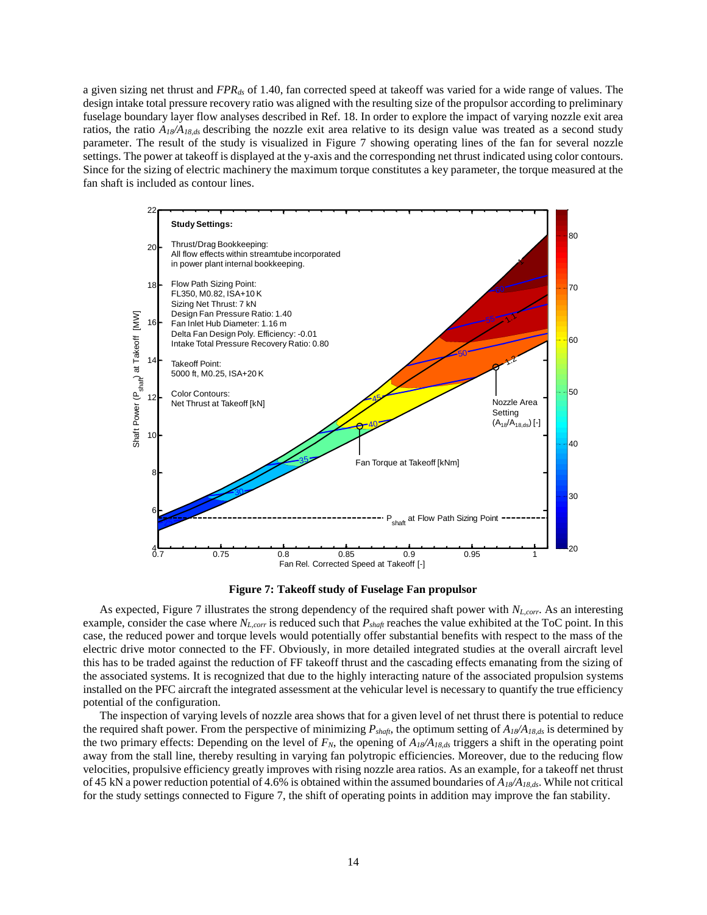a given sizing net thrust and *FPRds* of 1.40, fan corrected speed at takeoff was varied for a wide range of values. The design intake total pressure recovery ratio was aligned with the resulting size of the propulsor according to preliminary fuselage boundary layer flow analyses described in Ref. 18. In order to explore the impact of varying nozzle exit area ratios, the ratio *A18/A18,ds* describing the nozzle exit area relative to its design value was treated as a second study parameter. The result of the study is visualized in [Figure 7](#page-13-0) showing operating lines of the fan for several nozzle settings. The power at takeoff is displayed at the y-axis and the corresponding net thrust indicated using color contours. Since for the sizing of electric machinery the maximum torque constitutes a key parameter, the torque measured at the fan shaft is included as contour lines.



**Figure 7: Takeoff study of Fuselage Fan propulsor**

<span id="page-13-0"></span>As expected, [Figure 7](#page-13-0) illustrates the strong dependency of the required shaft power with *NL,corr*. As an interesting example, consider the case where  $N_{L,corr}$  is reduced such that  $P_{shapt}$  reaches the value exhibited at the ToC point. In this case, the reduced power and torque levels would potentially offer substantial benefits with respect to the mass of the electric drive motor connected to the FF. Obviously, in more detailed integrated studies at the overall aircraft level this has to be traded against the reduction of FF takeoff thrust and the cascading effects emanating from the sizing of the associated systems. It is recognized that due to the highly interacting nature of the associated propulsion systems installed on the PFC aircraft the integrated assessment at the vehicular level is necessary to quantify the true efficiency potential of the configuration.

The inspection of varying levels of nozzle area shows that for a given level of net thrust there is potential to reduce the required shaft power. From the perspective of minimizing *Pshaft*, the optimum setting of *A18/A18,ds* is determined by the two primary effects: Depending on the level of  $F_N$ , the opening of  $A_{18}/A_{18,ds}$  triggers a shift in the operating point away from the stall line, thereby resulting in varying fan polytropic efficiencies. Moreover, due to the reducing flow velocities, propulsive efficiency greatly improves with rising nozzle area ratios. As an example, for a takeoff net thrust of 45 kN a power reduction potential of 4.6% is obtained within the assumed boundaries of *A18/A18,ds*. While not critical for the study settings connected to [Figure 7,](#page-13-0) the shift of operating points in addition may improve the fan stability.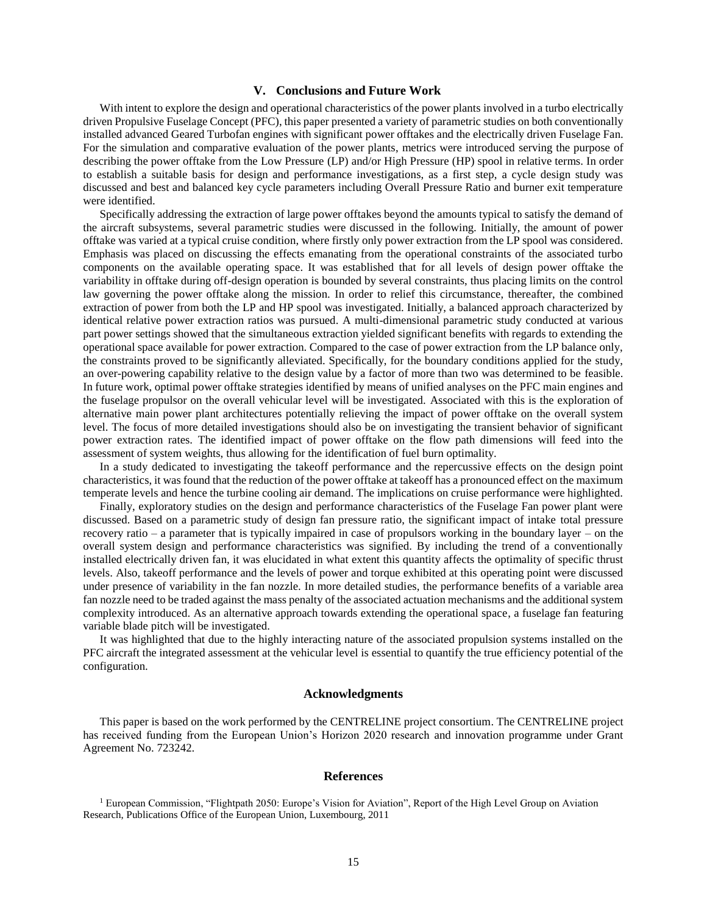# **V. Conclusions and Future Work**

With intent to explore the design and operational characteristics of the power plants involved in a turbo electrically driven Propulsive Fuselage Concept (PFC), this paper presented a variety of parametric studies on both conventionally installed advanced Geared Turbofan engines with significant power offtakes and the electrically driven Fuselage Fan. For the simulation and comparative evaluation of the power plants, metrics were introduced serving the purpose of describing the power offtake from the Low Pressure (LP) and/or High Pressure (HP) spool in relative terms. In order to establish a suitable basis for design and performance investigations, as a first step, a cycle design study was discussed and best and balanced key cycle parameters including Overall Pressure Ratio and burner exit temperature were identified.

Specifically addressing the extraction of large power offtakes beyond the amounts typical to satisfy the demand of the aircraft subsystems, several parametric studies were discussed in the following. Initially, the amount of power offtake was varied at a typical cruise condition, where firstly only power extraction from the LP spool was considered. Emphasis was placed on discussing the effects emanating from the operational constraints of the associated turbo components on the available operating space. It was established that for all levels of design power offtake the variability in offtake during off-design operation is bounded by several constraints, thus placing limits on the control law governing the power offtake along the mission. In order to relief this circumstance, thereafter, the combined extraction of power from both the LP and HP spool was investigated. Initially, a balanced approach characterized by identical relative power extraction ratios was pursued. A multi-dimensional parametric study conducted at various part power settings showed that the simultaneous extraction yielded significant benefits with regards to extending the operational space available for power extraction. Compared to the case of power extraction from the LP balance only, the constraints proved to be significantly alleviated. Specifically, for the boundary conditions applied for the study, an over-powering capability relative to the design value by a factor of more than two was determined to be feasible. In future work, optimal power offtake strategies identified by means of unified analyses on the PFC main engines and the fuselage propulsor on the overall vehicular level will be investigated. Associated with this is the exploration of alternative main power plant architectures potentially relieving the impact of power offtake on the overall system level. The focus of more detailed investigations should also be on investigating the transient behavior of significant power extraction rates. The identified impact of power offtake on the flow path dimensions will feed into the assessment of system weights, thus allowing for the identification of fuel burn optimality.

In a study dedicated to investigating the takeoff performance and the repercussive effects on the design point characteristics, it was found that the reduction of the power offtake at takeoff has a pronounced effect on the maximum temperate levels and hence the turbine cooling air demand. The implications on cruise performance were highlighted.

Finally, exploratory studies on the design and performance characteristics of the Fuselage Fan power plant were discussed. Based on a parametric study of design fan pressure ratio, the significant impact of intake total pressure recovery ratio – a parameter that is typically impaired in case of propulsors working in the boundary layer – on the overall system design and performance characteristics was signified. By including the trend of a conventionally installed electrically driven fan, it was elucidated in what extent this quantity affects the optimality of specific thrust levels. Also, takeoff performance and the levels of power and torque exhibited at this operating point were discussed under presence of variability in the fan nozzle. In more detailed studies, the performance benefits of a variable area fan nozzle need to be traded against the mass penalty of the associated actuation mechanisms and the additional system complexity introduced. As an alternative approach towards extending the operational space, a fuselage fan featuring variable blade pitch will be investigated.

It was highlighted that due to the highly interacting nature of the associated propulsion systems installed on the PFC aircraft the integrated assessment at the vehicular level is essential to quantify the true efficiency potential of the configuration.

#### **Acknowledgments**

This paper is based on the work performed by the CENTRELINE project consortium. The CENTRELINE project has received funding from the European Union's Horizon 2020 research and innovation programme under Grant Agreement No. 723242.

#### **References**

<sup>1</sup> European Commission, "Flightpath 2050: Europe's Vision for Aviation", Report of the High Level Group on Aviation Research, Publications Office of the European Union, Luxembourg, 2011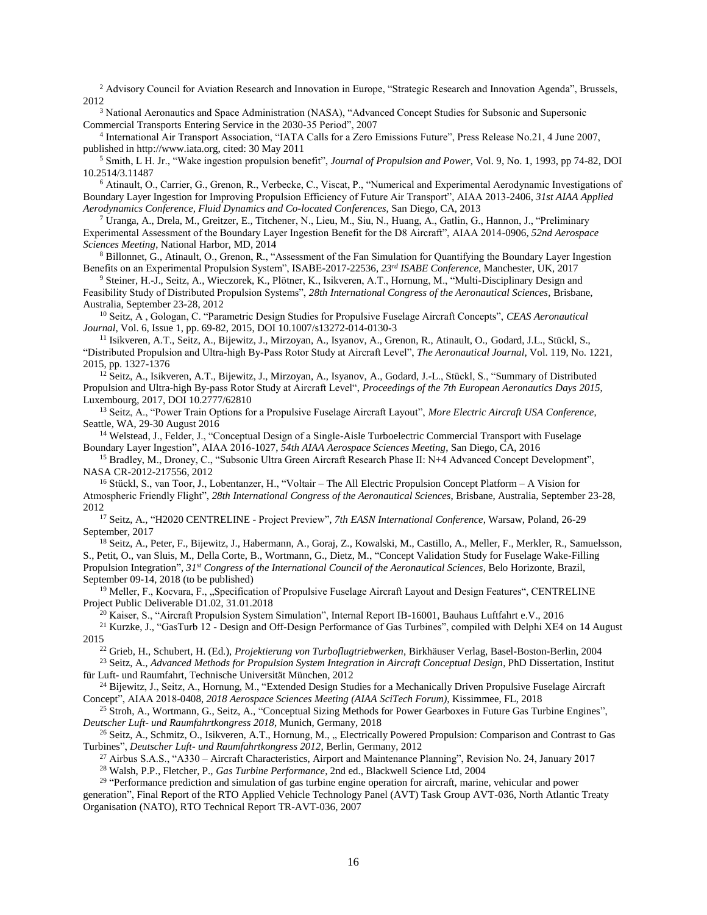<sup>2</sup> Advisory Council for Aviation Research and Innovation in Europe, "Strategic Research and Innovation Agenda", Brussels, 2012

<sup>3</sup> National Aeronautics and Space Administration (NASA), "Advanced Concept Studies for Subsonic and Supersonic Commercial Transports Entering Service in the 2030-35 Period", 2007

4 International Air Transport Association, "IATA Calls for a Zero Emissions Future", Press Release No.21, 4 June 2007, published in http://www.iata.org, cited: 30 May 2011

<sup>5</sup> Smith, L H. Jr., "Wake ingestion propulsion benefit", *Journal of Propulsion and Power*, Vol. 9, No. 1, 1993, pp 74-82, DOI 10.2514/3.11487

<sup>6</sup> Atinault, O., Carrier, G., Grenon, R., Verbecke, C., Viscat, P., "Numerical and Experimental Aerodynamic Investigations of Boundary Layer Ingestion for Improving Propulsion Efficiency of Future Air Transport", AIAA 2013-2406, *31st AIAA Applied Aerodynamics Conference, Fluid Dynamics and Co-located Conferences*, San Diego, CA, 2013

<sup>7</sup> Uranga, A., Drela, M., Greitzer, E., Titchener, N., Lieu, M., Siu, N., Huang, A., Gatlin, G., Hannon, J., "Preliminary Experimental Assessment of the Boundary Layer Ingestion Benefit for the D8 Aircraft", AIAA 2014-0906, *52nd Aerospace Sciences Meeting*, National Harbor, MD, 2014

<sup>8</sup> Billonnet, G., Atinault, O., Grenon, R., "Assessment of the Fan Simulation for Quantifying the Boundary Layer Ingestion Benefits on an Experimental Propulsion System", ISABE-2017-22536, *23rd ISABE Conference*, Manchester, UK, 2017

<sup>9</sup> Steiner, H.-J., Seitz, A., Wieczorek, K., Plötner, K., Isikveren, A.T., Hornung, M., "Multi-Disciplinary Design and Feasibility Study of Distributed Propulsion Systems", *28th International Congress of the Aeronautical Sciences*, Brisbane, Australia, September 23-28, 2012

<sup>10</sup> Seitz, A , Gologan, C. "Parametric Design Studies for Propulsive Fuselage Aircraft Concepts", *CEAS Aeronautical Journal*, Vol. 6, Issue 1, pp. 69-82, 2015, DOI 10.1007/s13272-014-0130-3

11 Isikveren, A.T., Seitz, A., Bijewitz, J., Mirzoyan, A., Isyanov, A., Grenon, R., Atinault, O., Godard, J.L., Stückl, S., "Distributed Propulsion and Ultra-high By-Pass Rotor Study at Aircraft Level", *The Aeronautical Journal*, Vol. 119, No. 1221, 2015, pp. 1327-1376

<sup>12</sup> Seitz, A., Isikveren, A.T., Bijewitz, J., Mirzoyan, A., Isyanov, A., Godard, J.-L., Stückl, S., "Summary of Distributed Propulsion and Ultra-high By-pass Rotor Study at Aircraft Level", *Proceedings of the 7th European Aeronautics Days 2015*, Luxembourg, 2017, DOI 10.2777/62810

<sup>13</sup> Seitz, A., "Power Train Options for a Propulsive Fuselage Aircraft Layout", *More Electric Aircraft USA Conference*, Seattle, WA, 29-30 August 2016

<sup>14</sup> Welstead, J., Felder, J., "Conceptual Design of a Single-Aisle Turboelectric Commercial Transport with Fuselage Boundary Layer Ingestion", AIAA 2016-1027, *54th AIAA Aerospace Sciences Meeting*, San Diego, CA, 2016

<sup>15</sup> Bradley, M., Droney, C., "Subsonic Ultra Green Aircraft Research Phase II: N+4 Advanced Concept Development", NASA CR-2012-217556, 2012

<sup>16</sup> Stückl, S., van Toor, J., Lobentanzer, H., "Voltair – The All Electric Propulsion Concept Platform – A Vision for Atmospheric Friendly Flight", *28th International Congress of the Aeronautical Sciences*, Brisbane, Australia, September 23-28, 2012

<sup>17</sup> Seitz, A., "H2020 CENTRELINE - Project Preview", *7th EASN International Conference*, Warsaw, Poland, 26-29 September, 2017

<sup>18</sup> Seitz, A., Peter, F., Bijewitz, J., Habermann, A., Goraj, Z., Kowalski, M., Castillo, A., Meller, F., Merkler, R., Samuelsson, S., Petit, O., van Sluis, M., Della Corte, B., Wortmann, G., Dietz, M., "Concept Validation Study for Fuselage Wake-Filling Propulsion Integration", *31st Congress of the International Council of the Aeronautical Sciences*, Belo Horizonte, Brazil, September 09-14, 2018 (to be published)

<sup>19</sup> Meller, F., Kocvara, F., "Specification of Propulsive Fuselage Aircraft Layout and Design Features", CENTRELINE Project Public Deliverable D1.02, 31.01.2018

<sup>20</sup> Kaiser, S., "Aircraft Propulsion System Simulation", Internal Report IB-16001, Bauhaus Luftfahrt e.V., 2016

<sup>21</sup> Kurzke, J., "GasTurb 12 - Design and Off-Design Performance of Gas Turbines", compiled with Delphi XE4 on 14 August 2015

<sup>22</sup> Grieb, H., Schubert, H. (Ed.), *Projektierung von Turboflugtriebwerken*, Birkhäuser Verlag, Basel-Boston-Berlin, 2004

<sup>23</sup> Seitz, A., *Advanced Methods for Propulsion System Integration in Aircraft Conceptual Design*, PhD Dissertation, Institut für Luft- und Raumfahrt, Technische Universität München, 2012

<sup>24</sup> Bijewitz, J., Seitz, A., Hornung, M., "Extended Design Studies for a Mechanically Driven Propulsive Fuselage Aircraft Concept", AIAA 2018-0408, *2018 Aerospace Sciences Meeting (AIAA SciTech Forum),* Kissimmee, FL, 2018

<sup>25</sup> Stroh, A., Wortmann, G., Seitz, A., "Conceptual Sizing Methods for Power Gearboxes in Future Gas Turbine Engines", *Deutscher Luft- und Raumfahrtkongress 2018*, Munich, Germany, 2018

 $^{26}$  Seitz, A., Schmitz, O., Isikveren, A.T., Hornung, M.,  $n$ , Electrically Powered Propulsion: Comparison and Contrast to Gas Turbines", *Deutscher Luft- und Raumfahrtkongress 2012*, Berlin, Germany, 2012

<sup>27</sup> Airbus S.A.S., "A330 – Aircraft Characteristics, Airport and Maintenance Planning", Revision No. 24, January 2017 <sup>28</sup> Walsh, P.P., Fletcher, P., *Gas Turbine Performance*, 2nd ed., Blackwell Science Ltd, 2004

<sup>29</sup> "Performance prediction and simulation of gas turbine engine operation for aircraft, marine, vehicular and power generation", Final Report of the RTO Applied Vehicle Technology Panel (AVT) Task Group AVT-036, North Atlantic Treaty Organisation (NATO), RTO Technical Report TR-AVT-036, 2007